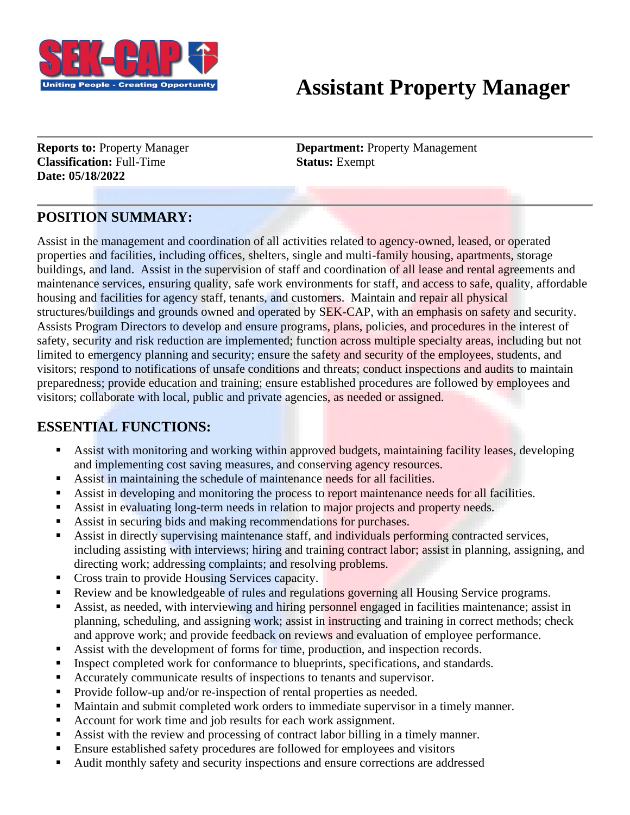

# **Assistant Property Manager**

**Classification:** Full-Time **Status:** Exempt **Date: 05/18/2022**

**Reports to:** Property Manager **Department:** Property Management

## **POSITION SUMMARY:**

Assist in the management and coordination of all activities related to agency-owned, leased, or operated properties and facilities, including offices, shelters, single and multi-family housing, apartments, storage buildings, and land. Assist in the supervision of staff and coordination of all lease and rental agreements and maintenance services, ensuring quality, safe work environments for staff, and access to safe, quality, affordable housing and facilities for agency staff, tenants, and customers. Maintain and repair all physical structures/buildings and grounds owned and operated by SEK-CAP, with an emphasis on safety and security. Assists Program Directors to develop and ensure programs, plans, policies, and procedures in the interest of safety, security and risk reduction are implemented; function across multiple specialty areas, including but not limited to emergency planning and security; ensure the safety and security of the employees, students, and visitors; respond to notifications of unsafe conditions and threats; conduct inspections and audits to maintain preparedness; provide education and training; ensure established procedures are followed by employees and visitors; collaborate with local, public and private agencies, as needed or assigned.

### **ESSENTIAL FUNCTIONS:**

- Assist with monitoring and working within approved budgets, maintaining facility leases, developing and implementing cost saving measures, and conserving agency resources.
- Assist in maintaining the schedule of maintenance needs for all facilities.
- Assist in developing and monitoring the process to report maintenance needs for all facilities.
- Assist in evaluating long-term needs in relation to major projects and property needs.
- Assist in securing bids and making recommendations for purchases.
- Assist in directly supervising maintenance staff, and individuals performing contracted services, including assisting with interviews; hiring and training contract labor; assist in planning, assigning, and directing work; addressing complaints; and resolving problems.
- Cross train to provide Housing Services capacity.
- Review and be knowledgeable of rules and regulations governing all Housing Service programs.
- Assist, as needed, with interviewing and hiring personnel engaged in facilities maintenance; assist in planning, scheduling, and assigning work; assist in instructing and training in correct methods; check and approve work; and provide feedback on reviews and evaluation of employee performance.
- Assist with the development of forms for time, production, and inspection records.
- Inspect completed work for conformance to blueprints, specifications, and standards.
- Accurately communicate results of inspections to tenants and supervisor.
- Provide follow-up and/or re-inspection of rental properties as needed.
- Maintain and submit completed work orders to immediate supervisor in a timely manner.
- Account for work time and job results for each work assignment.
- Assist with the review and processing of contract labor billing in a timely manner.
- Ensure established safety procedures are followed for employees and visitors
- Audit monthly safety and security inspections and ensure corrections are addressed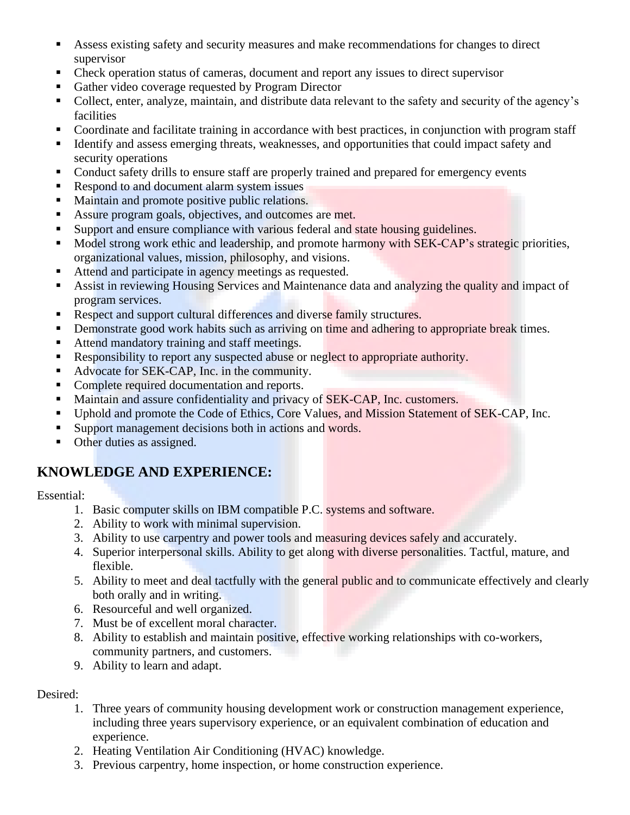- Assess existing safety and security measures and make recommendations for changes to direct supervisor
- **•** Check operation status of cameras, document and report any issues to direct supervisor
- Gather video coverage requested by Program Director
- Collect, enter, analyze, maintain, and distribute data relevant to the safety and security of the agency's facilities
- Coordinate and facilitate training in accordance with best practices, in conjunction with program staff
- Identify and assess emerging threats, weaknesses, and opportunities that could impact safety and security operations
- Conduct safety drills to ensure staff are properly trained and prepared for emergency events
- Respond to and document alarm system issues
- Maintain and promote positive public relations.
- Assure program goals, objectives, and outcomes are met.
- Support and ensure compliance with various federal and state housing guidelines.
- Model strong work ethic and leadership, and promote harmony with SEK-CAP's strategic priorities, organizational values, mission, philosophy, and visions.
- Attend and participate in agency meetings as requested.
- Assist in reviewing Housing Services and Maintenance data and analyzing the quality and impact of program services.
- **EXECUTE:** Respect and support cultural differences and diverse family structures.
- **•** Demonstrate good work habits such as arriving on time and adhering to appropriate break times.
- Attend mandatory training and staff meetings.
- Responsibility to report any suspected abuse or neglect to appropriate authority.
- Advocate for SEK-CAP, Inc. in the community.
- Complete required documentation and reports.
- Maintain and assure confidentiality and privacy of SEK-CAP, Inc. customers.
- Uphold and promote the Code of Ethics, Core Values, and Mission Statement of SEK-CAP, Inc.
- Support management decisions both in actions and words.
- Other duties as assigned.

### **KNOWLEDGE AND EXPERIENCE:**

#### Essential:

- 1. Basic computer skills on IBM compatible P.C. systems and software.
- 2. Ability to work with minimal supervision.
- 3. Ability to use carpentry and power tools and measuring devices safely and accurately.
- 4. Superior interpersonal skills. Ability to get along with diverse personalities. Tactful, mature, and flexible.
- 5. Ability to meet and deal tactfully with the general public and to communicate effectively and clearly both orally and in writing.
- 6. Resourceful and well organized.
- 7. Must be of excellent moral character.
- 8. Ability to establish and maintain positive, effective working relationships with co-workers, community partners, and customers.
- 9. Ability to learn and adapt.

#### Desired:

- 1. Three years of community housing development work or construction management experience, including three years supervisory experience, or an equivalent combination of education and experience.
- 2. Heating Ventilation Air Conditioning (HVAC) knowledge.
- 3. Previous carpentry, home inspection, or home construction experience.